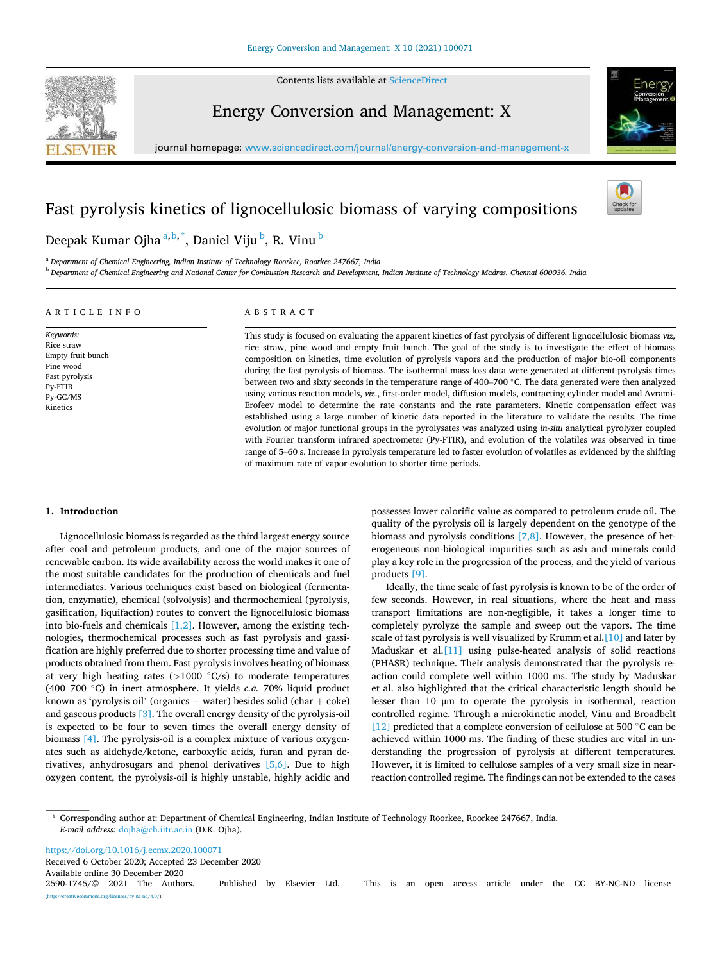

Contents lists available at [ScienceDirect](www.sciencedirect.com/science/journal/25901745)

# Energy Conversion and Management: X



journal homepage: [www.sciencedirect.com/journal/energy-conversion-and-management-x](https://www.sciencedirect.com/journal/energy-conversion-and-management-x) 

# Fast pyrolysis kinetics of lignocellulosic biomass of varying compositions



# Deepak Kumar Ojha<sup>a, b, \*</sup>, Daniel Viju <sup>b</sup>, R. Vinu <sup>b</sup>

<sup>a</sup> *Department of Chemical Engineering, Indian Institute of Technology Roorkee, Roorkee 247667, India*  <sup>b</sup> *Department of Chemical Engineering and National Center for Combustion Research and Development, Indian Institute of Technology Madras, Chennai 600036, India* 

## A R T I C L E I N F O

*Keywords:*  Rice straw Empty fruit bunch Pine wood Fast pyrolysis Py-FTIR Py-GC/MS Kinetics

## ABSTRACT

This study is focused on evaluating the apparent kinetics of fast pyrolysis of different lignocellulosic biomass *viz,*  rice straw, pine wood and empty fruit bunch. The goal of the study is to investigate the effect of biomass composition on kinetics, time evolution of pyrolysis vapors and the production of major bio-oil components during the fast pyrolysis of biomass. The isothermal mass loss data were generated at different pyrolysis times between two and sixty seconds in the temperature range of 400–700 ◦C. The data generated were then analyzed using various reaction models, *viz*., first-order model, diffusion models, contracting cylinder model and Avrami-Erofeev model to determine the rate constants and the rate parameters. Kinetic compensation effect was established using a large number of kinetic data reported in the literature to validate the results. The time evolution of major functional groups in the pyrolysates was analyzed using *in-situ* analytical pyrolyzer coupled with Fourier transform infrared spectrometer (Py-FTIR), and evolution of the volatiles was observed in time range of 5–60 s. Increase in pyrolysis temperature led to faster evolution of volatiles as evidenced by the shifting of maximum rate of vapor evolution to shorter time periods.

## **1. Introduction**

Lignocellulosic biomass is regarded as the third largest energy source after coal and petroleum products, and one of the major sources of renewable carbon. Its wide availability across the world makes it one of the most suitable candidates for the production of chemicals and fuel intermediates. Various techniques exist based on biological (fermentation, enzymatic), chemical (solvolysis) and thermochemical (pyrolysis, gasification, liquifaction) routes to convert the lignocellulosic biomass into bio-fuels and chemicals  $[1,2]$ . However, among the existing technologies, thermochemical processes such as fast pyrolysis and gassification are highly preferred due to shorter processing time and value of products obtained from them. Fast pyrolysis involves heating of biomass at very high heating rates (*>*1000 ◦C/s) to moderate temperatures (400–700 ◦C) in inert atmosphere. It yields *c.a.* 70% liquid product known as 'pyrolysis oil' (organics  $+$  water) besides solid (char  $+$  coke) and gaseous products [\[3\]](#page-8-0). The overall energy density of the pyrolysis-oil is expected to be four to seven times the overall energy density of biomass [\[4\].](#page-8-0) The pyrolysis-oil is a complex mixture of various oxygenates such as aldehyde/ketone, carboxylic acids, furan and pyran derivatives, anhydrosugars and phenol derivatives [\[5,6\].](#page-8-0) Due to high oxygen content, the pyrolysis-oil is highly unstable, highly acidic and possesses lower calorific value as compared to petroleum crude oil. The quality of the pyrolysis oil is largely dependent on the genotype of the biomass and pyrolysis conditions [\[7,8\]](#page-8-0). However, the presence of heterogeneous non-biological impurities such as ash and minerals could play a key role in the progression of the process, and the yield of various products [\[9\].](#page-8-0)

Ideally, the time scale of fast pyrolysis is known to be of the order of few seconds. However, in real situations, where the heat and mass transport limitations are non-negligible, it takes a longer time to completely pyrolyze the sample and sweep out the vapors. The time scale of fast pyrolysis is well visualized by Krumm et al.[\[10\]](#page-8-0) and later by Maduskar et al[.\[11\]](#page-8-0) using pulse-heated analysis of solid reactions (PHASR) technique. Their analysis demonstrated that the pyrolysis reaction could complete well within 1000 ms. The study by Maduskar et al. also highlighted that the critical characteristic length should be lesser than 10 μm to operate the pyrolysis in isothermal, reaction controlled regime. Through a microkinetic model, Vinu and Broadbelt [\[12\]](#page-8-0) predicted that a complete conversion of cellulose at 500 °C can be achieved within 1000 ms. The finding of these studies are vital in understanding the progression of pyrolysis at different temperatures. However, it is limited to cellulose samples of a very small size in nearreaction controlled regime. The findings can not be extended to the cases

\* Corresponding author at: Department of Chemical Engineering, Indian Institute of Technology Roorkee, Roorkee 247667, India. *E-mail address:* [dojha@ch.iitr.ac.in](mailto:dojha@ch.iitr.ac.in) (D.K. Ojha).

Available online 30 December 2020<br>2590-1745/© 2021 The Authors. Published by Elsevier Ltd. This is an open access article under the CC BY-NC-ND license (http://www.nc-nd/4.0/). <https://doi.org/10.1016/j.ecmx.2020.100071> Received 6 October 2020; Accepted 23 December 2020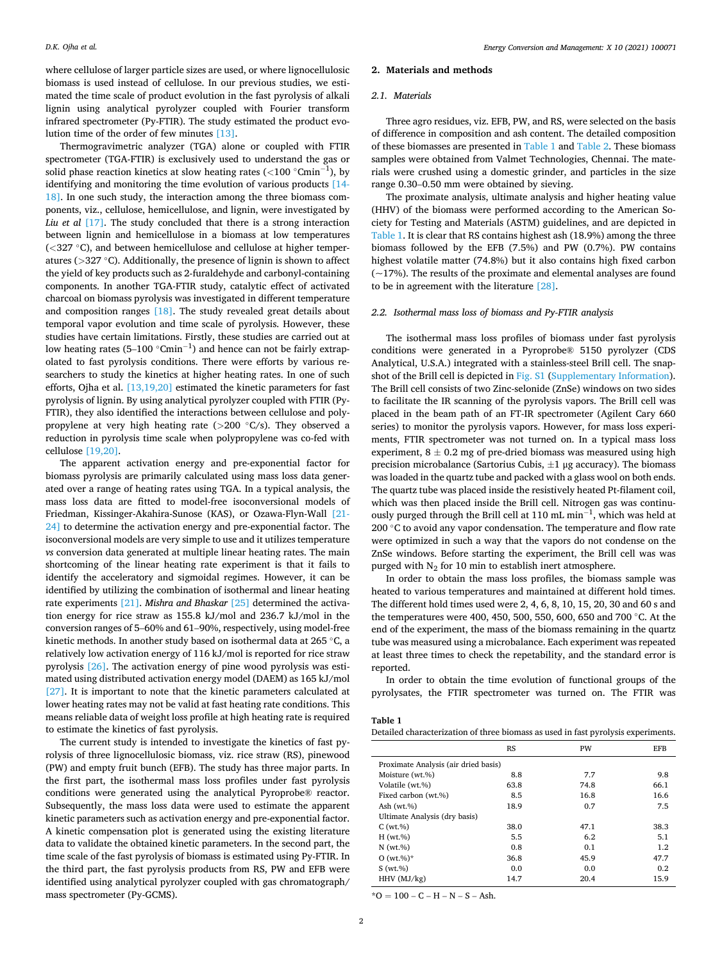*Energy Conversion and Management: X 10 (2021) 100071*

where cellulose of larger particle sizes are used, or where lignocellulosic biomass is used instead of cellulose. In our previous studies, we estimated the time scale of product evolution in the fast pyrolysis of alkali lignin using analytical pyrolyzer coupled with Fourier transform infrared spectrometer (Py-FTIR). The study estimated the product evolution time of the order of few minutes [\[13\].](#page-8-0)

Thermogravimetric analyzer (TGA) alone or coupled with FTIR spectrometer (TGA-FTIR) is exclusively used to understand the gas or solid phase reaction kinetics at slow heating rates (*<*100 ◦Cmin−<sup>1</sup> ), by identifying and monitoring the time evolution of various products [\[14-](#page-8-0)  [18\].](#page-8-0) In one such study, the interaction among the three biomass components, viz., cellulose, hemicellulose, and lignin, were investigated by Liu et al [\[17\].](#page-8-0) The study concluded that there is a strong interaction between lignin and hemicellulose in a biomass at low temperatures (*<*327 ◦C), and between hemicellulose and cellulose at higher temperatures (*>*327 ◦C). Additionally, the presence of lignin is shown to affect the yield of key products such as 2-furaldehyde and carbonyl-containing components. In another TGA-FTIR study, catalytic effect of activated charcoal on biomass pyrolysis was investigated in different temperature and composition ranges [\[18\].](#page-8-0) The study revealed great details about temporal vapor evolution and time scale of pyrolysis. However, these studies have certain limitations. Firstly, these studies are carried out at low heating rates (5–100  $^{\circ}$ Cmin $^{-1}$ ) and hence can not be fairly extrapolated to fast pyrolysis conditions. There were efforts by various researchers to study the kinetics at higher heating rates. In one of such efforts, Ojha et al. [\[13,19,20\]](#page-8-0) estimated the kinetic parameters for fast pyrolysis of lignin. By using analytical pyrolyzer coupled with FTIR (Py-FTIR), they also identified the interactions between cellulose and polypropylene at very high heating rate (*>*200 ◦C/s). They observed a reduction in pyrolysis time scale when polypropylene was co-fed with cellulose [\[19,20\].](#page-8-0)

The apparent activation energy and pre-exponential factor for biomass pyrolysis are primarily calculated using mass loss data generated over a range of heating rates using TGA. In a typical analysis, the mass loss data are fitted to model-free isoconversional models of Friedman, Kissinger-Akahira-Sunose (KAS), or Ozawa-Flyn-Wall [\[21-](#page-8-0)  [24\]](#page-8-0) to determine the activation energy and pre-exponential factor. The isoconversional models are very simple to use and it utilizes temperature *vs* conversion data generated at multiple linear heating rates. The main shortcoming of the linear heating rate experiment is that it fails to identify the acceleratory and sigmoidal regimes. However, it can be identified by utilizing the combination of isothermal and linear heating rate experiments [\[21\]](#page-8-0). *Mishra and Bhaskar* [\[25\]](#page-8-0) determined the activation energy for rice straw as 155.8 kJ/mol and 236.7 kJ/mol in the conversion ranges of 5–60% and 61–90%, respectively, using model-free kinetic methods. In another study based on isothermal data at 265 ◦C, a relatively low activation energy of 116 kJ/mol is reported for rice straw pyrolysis [\[26\].](#page-8-0) The activation energy of pine wood pyrolysis was estimated using distributed activation energy model (DAEM) as 165 kJ/mol [\[27\]](#page-9-0). It is important to note that the kinetic parameters calculated at lower heating rates may not be valid at fast heating rate conditions. This means reliable data of weight loss profile at high heating rate is required to estimate the kinetics of fast pyrolysis.

The current study is intended to investigate the kinetics of fast pyrolysis of three lignocellulosic biomass, viz. rice straw (RS), pinewood (PW) and empty fruit bunch (EFB). The study has three major parts. In the first part, the isothermal mass loss profiles under fast pyrolysis conditions were generated using the analytical Pyroprobe® reactor. Subsequently, the mass loss data were used to estimate the apparent kinetic parameters such as activation energy and pre-exponential factor. A kinetic compensation plot is generated using the existing literature data to validate the obtained kinetic parameters. In the second part, the time scale of the fast pyrolysis of biomass is estimated using Py-FTIR. In the third part, the fast pyrolysis products from RS, PW and EFB were identified using analytical pyrolyzer coupled with gas chromatograph/ mass spectrometer (Py-GCMS).

### **2. Materials and methods**

#### *2.1. Materials*

Three agro residues, viz. EFB, PW, and RS, were selected on the basis of difference in composition and ash content. The detailed composition of these biomasses are presented in Table 1 and [Table 2](#page-2-0). These biomass samples were obtained from Valmet Technologies, Chennai. The materials were crushed using a domestic grinder, and particles in the size range 0.30–0.50 mm were obtained by sieving.

The proximate analysis, ultimate analysis and higher heating value (HHV) of the biomass were performed according to the American Society for Testing and Materials (ASTM) guidelines, and are depicted in Table 1. It is clear that RS contains highest ash (18.9%) among the three biomass followed by the EFB (7.5%) and PW (0.7%). PW contains highest volatile matter (74.8%) but it also contains high fixed carbon  $(-17%)$ . The results of the proximate and elemental analyses are found to be in agreement with the literature [\[28\]](#page-9-0).

### *2.2. Isothermal mass loss of biomass and Py-FTIR analysis*

The isothermal mass loss profiles of biomass under fast pyrolysis conditions were generated in a Pyroprobe® 5150 pyrolyzer (CDS Analytical, U.S.A.) integrated with a stainless-steel Brill cell. The snapshot of the Brill cell is depicted in Fig. S1 (Supplementary Information). The Brill cell consists of two Zinc-selonide (ZnSe) windows on two sides to facilitate the IR scanning of the pyrolysis vapors. The Brill cell was placed in the beam path of an FT-IR spectrometer (Agilent Cary 660 series) to monitor the pyrolysis vapors. However, for mass loss experiments, FTIR spectrometer was not turned on. In a typical mass loss experiment,  $8 \pm 0.2$  mg of pre-dried biomass was measured using high precision microbalance (Sartorius Cubis,  $\pm 1$  μg accuracy). The biomass was loaded in the quartz tube and packed with a glass wool on both ends. The quartz tube was placed inside the resistively heated Pt-filament coil, which was then placed inside the Brill cell. Nitrogen gas was continuously purged through the Brill cell at 110 mL min−<sup>1</sup> , which was held at 200  $\degree$ C to avoid any vapor condensation. The temperature and flow rate were optimized in such a way that the vapors do not condense on the ZnSe windows. Before starting the experiment, the Brill cell was was purged with  $N_2$  for 10 min to establish inert atmosphere.

In order to obtain the mass loss profiles, the biomass sample was heated to various temperatures and maintained at different hold times. The different hold times used were 2, 4, 6, 8, 10, 15, 20, 30 and 60 s and the temperatures were 400, 450, 500, 550, 600, 650 and 700 ◦C. At the end of the experiment, the mass of the biomass remaining in the quartz tube was measured using a microbalance. Each experiment was repeated at least three times to check the repetability, and the standard error is reported.

In order to obtain the time evolution of functional groups of the pyrolysates, the FTIR spectrometer was turned on. The FTIR was

| Table |  |
|-------|--|
|-------|--|

| Detailed characterization of three biomass as used in fast pyrolysis experiments. |  |  |
|-----------------------------------------------------------------------------------|--|--|
|-----------------------------------------------------------------------------------|--|--|

|                               | <b>RS</b>                            | PW   | <b>EFB</b> |  |  |  |
|-------------------------------|--------------------------------------|------|------------|--|--|--|
|                               | Proximate Analysis (air dried basis) |      |            |  |  |  |
| Moisture (wt.%)               | 8.8                                  | 7.7  | 9.8        |  |  |  |
| Volatile (wt.%)               | 63.8                                 | 74.8 | 66.1       |  |  |  |
| Fixed carbon (wt.%)           | 8.5                                  | 16.8 | 16.6       |  |  |  |
| Ash $(wt.%)$                  | 18.9                                 | 0.7  | 7.5        |  |  |  |
| Ultimate Analysis (dry basis) |                                      |      |            |  |  |  |
| C(wt.%)                       | 38.0                                 | 47.1 | 38.3       |  |  |  |
| H(wt.%)                       | 5.5                                  | 6.2  | 5.1        |  |  |  |
| $N$ (wt.%)                    | 0.8                                  | 0.1  | 1.2        |  |  |  |
| $O(wt \, % )^*$               | 36.8                                 | 45.9 | 47.7       |  |  |  |
| S(wt, %)                      | 0.0                                  | 0.0  | 0.2        |  |  |  |
| $HHV$ ( $MJ/kg$ )             | 14.7                                 | 20.4 | 15.9       |  |  |  |

 $*O = 100 - C - H - N - S - Ash.$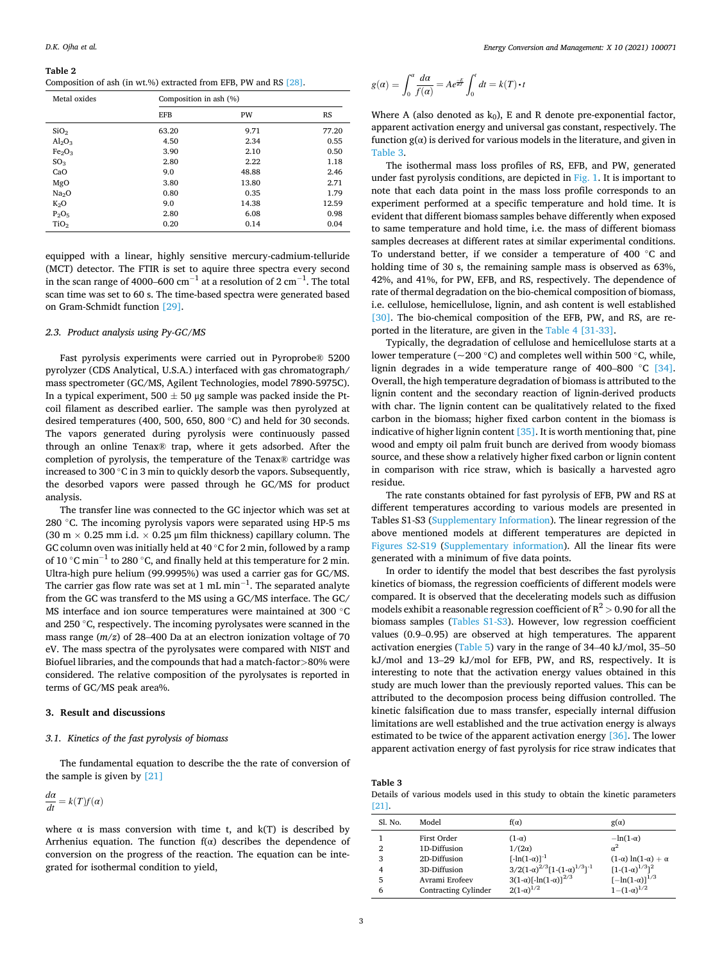#### <span id="page-2-0"></span>**Table 2**

Composition of ash (in wt.%) extracted from EFB, PW and RS [\[28\]](#page-9-0).

| Metal oxides                   |            | Composition in ash (%) |           |  |  |
|--------------------------------|------------|------------------------|-----------|--|--|
|                                | <b>EFB</b> | PW                     | <b>RS</b> |  |  |
| SiO <sub>2</sub>               | 63.20      | 9.71                   | 77.20     |  |  |
| Al <sub>2</sub> O <sub>3</sub> | 4.50       | 2.34                   | 0.55      |  |  |
| Fe <sub>2</sub> O <sub>3</sub> | 3.90       | 2.10                   | 0.50      |  |  |
| SO <sub>3</sub>                | 2.80       | 2.22                   | 1.18      |  |  |
| CaO                            | 9.0        | 48.88                  | 2.46      |  |  |
| MgO                            | 3.80       | 13.80                  | 2.71      |  |  |
| Na <sub>2</sub> O              | 0.80       | 0.35                   | 1.79      |  |  |
| $K_2O$                         | 9.0        | 14.38                  | 12.59     |  |  |
| $P_2O_5$                       | 2.80       | 6.08                   | 0.98      |  |  |
| TiO <sub>2</sub>               | 0.20       | 0.14                   | 0.04      |  |  |

equipped with a linear, highly sensitive mercury-cadmium-telluride (MCT) detector. The FTIR is set to aquire three spectra every second in the scan range of 4000–600  $\rm cm^{-1}$  at a resolution of 2  $\rm cm^{-1}.$  The total scan time was set to 60 s. The time-based spectra were generated based on Gram-Schmidt function [\[29\].](#page-9-0)

## *2.3. Product analysis using Py-GC/MS*

Fast pyrolysis experiments were carried out in Pyroprobe® 5200 pyrolyzer (CDS Analytical, U.S.A.) interfaced with gas chromatograph/ mass spectrometer (GC/MS, Agilent Technologies, model 7890-5975C). In a typical experiment,  $500 \pm 50$  µg sample was packed inside the Ptcoil filament as described earlier. The sample was then pyrolyzed at desired temperatures (400, 500, 650, 800 ◦C) and held for 30 seconds. The vapors generated during pyrolysis were continuously passed through an online Tenax® trap, where it gets adsorbed. After the completion of pyrolysis, the temperature of the Tenax® cartridge was increased to 300 ◦C in 3 min to quickly desorb the vapors. Subsequently, the desorbed vapors were passed through he GC/MS for product analysis.

The transfer line was connected to the GC injector which was set at 280  $°C$ . The incoming pyrolysis vapors were separated using HP-5 ms (30 m  $\times$  0.25 mm i.d.  $\times$  0.25 µm film thickness) capillary column. The GC column oven was initially held at 40  $\degree$ C for 2 min, followed by a ramp of 10  $\degree$ C min<sup>-1</sup> to 280  $\degree$ C, and finally held at this temperature for 2 min. Ultra-high pure helium (99.9995%) was used a carrier gas for GC/MS. The carrier gas flow rate was set at 1 mL min $^{-1}$ . The separated analyte from the GC was transferd to the MS using a GC/MS interface. The GC/ MS interface and ion source temperatures were maintained at 300 ◦C and 250 ◦C, respectively. The incoming pyrolysates were scanned in the mass range (*m*/*z*) of 28–400 Da at an electron ionization voltage of 70 eV. The mass spectra of the pyrolysates were compared with NIST and Biofuel libraries, and the compounds that had a match-factor*>*80% were considered. The relative composition of the pyrolysates is reported in terms of GC/MS peak area%.

## **3. Result and discussions**

## *3.1. Kinetics of the fast pyrolysis of biomass*

The fundamental equation to describe the the rate of conversion of the sample is given by [\[21\]](#page-8-0) 

$$
\frac{d\alpha}{dt} = k(T)f(\alpha)
$$

where  $\alpha$  is mass conversion with time t, and  $k(T)$  is described by Arrhenius equation. The function  $f(\alpha)$  describes the dependence of conversion on the progress of the reaction. The equation can be integrated for isothermal condition to yield,

$$
g(\alpha) = \int_0^{\alpha} \frac{d\alpha}{f(\alpha)} = Ae^{\frac{-E}{RT}} \int_0^t dt = k(T) \cdot t
$$

Where A (also denoted as  $k_0$ ), E and R denote pre-exponential factor, apparent activation energy and universal gas constant, respectively. The function  $g(\alpha)$  is derived for various models in the literature, and given in Table 3.

The isothermal mass loss profiles of RS, EFB, and PW, generated under fast pyrolysis conditions, are depicted in  $Fig. 1$ . It is important to note that each data point in the mass loss profile corresponds to an experiment performed at a specific temperature and hold time. It is evident that different biomass samples behave differently when exposed to same temperature and hold time, i.e. the mass of different biomass samples decreases at different rates at similar experimental conditions. To understand better, if we consider a temperature of 400 ◦C and holding time of 30 s, the remaining sample mass is observed as 63%, 42%, and 41%, for PW, EFB, and RS, respectively. The dependence of rate of thermal degradation on the bio-chemical composition of biomass, i.e. cellulose, hemicellulose, lignin, and ash content is well established [\[30\]](#page-9-0). The bio-chemical composition of the EFB, PW, and RS, are reported in the literature, are given in the [Table 4](#page-3-0) [\[31-33\]](#page-9-0).

Typically, the degradation of cellulose and hemicellulose starts at a lower temperature (~200 ◦C) and completes well within 500 ◦C, while, lignin degrades in a wide temperature range of 400–800 ◦C [\[34\]](#page-9-0). Overall, the high temperature degradation of biomass is attributed to the lignin content and the secondary reaction of lignin-derived products with char. The lignin content can be qualitatively related to the fixed carbon in the biomass; higher fixed carbon content in the biomass is indicative of higher lignin content  $[35]$ . It is worth mentioning that, pine wood and empty oil palm fruit bunch are derived from woody biomass source, and these show a relatively higher fixed carbon or lignin content in comparison with rice straw, which is basically a harvested agro residue.

The rate constants obtained for fast pyrolysis of EFB, PW and RS at different temperatures according to various models are presented in Tables S1-S3 (Supplementary Information). The linear regression of the above mentioned models at different temperatures are depicted in Figures S2-S19 (Supplementary information). All the linear fits were generated with a minimum of five data points.

In order to identify the model that best describes the fast pyrolysis kinetics of biomass, the regression coefficients of different models were compared. It is observed that the decelerating models such as diffusion models exhibit a reasonable regression coefficient of  $R^2 > 0.90$  for all the biomass samples (Tables S1-S3). However, low regression coefficient values (0.9–0.95) are observed at high temperatures. The apparent activation energies [\(Table 5\)](#page-3-0) vary in the range of 34–40 kJ/mol, 35–50 kJ/mol and 13–29 kJ/mol for EFB, PW, and RS, respectively. It is interesting to note that the activation energy values obtained in this study are much lower than the previously reported values. This can be attributed to the decomposion process being diffusion controlled. The kinetic falsification due to mass transfer, especially internal diffusion limitations are well established and the true activation energy is always estimated to be twice of the apparent activation energy [\[36\]](#page-9-0). The lower apparent activation energy of fast pyrolysis for rice straw indicates that

**Table 3** 

Details of various models used in this study to obtain the kinetic parameters [\[21\].](#page-8-0)

| Sl. No. | Model                       | $f(\alpha)$                                      | $g(\alpha)$                         |
|---------|-----------------------------|--------------------------------------------------|-------------------------------------|
|         | First Order                 | $(1-\alpha)$                                     | $-\ln(1-\alpha)$                    |
| 2       | 1D-Diffusion                | $1/(2\alpha)$                                    | $\alpha^2$                          |
| 3       | 2D-Diffusion                | $[-\ln(1-\alpha)]^{-1}$                          | $(1-\alpha) \ln(1-\alpha) + \alpha$ |
| 4       | 3D-Diffusion                | $3/2(1-\alpha)^{2/3}[1-(1-\alpha)^{1/3}]^{-1}$   | $[1-(1-\alpha)^{1/3}]^2$            |
| 5       | Avrami Erofeev              | $3(1-\alpha)$ [-ln(1- $\alpha$ )] <sup>2/3</sup> | $[-\ln(1-\alpha)]^{1/3}$            |
| 6       | <b>Contracting Cylinder</b> | $2(1-\alpha)^{1/2}$                              | $1-(1-\alpha)^{1/2}$                |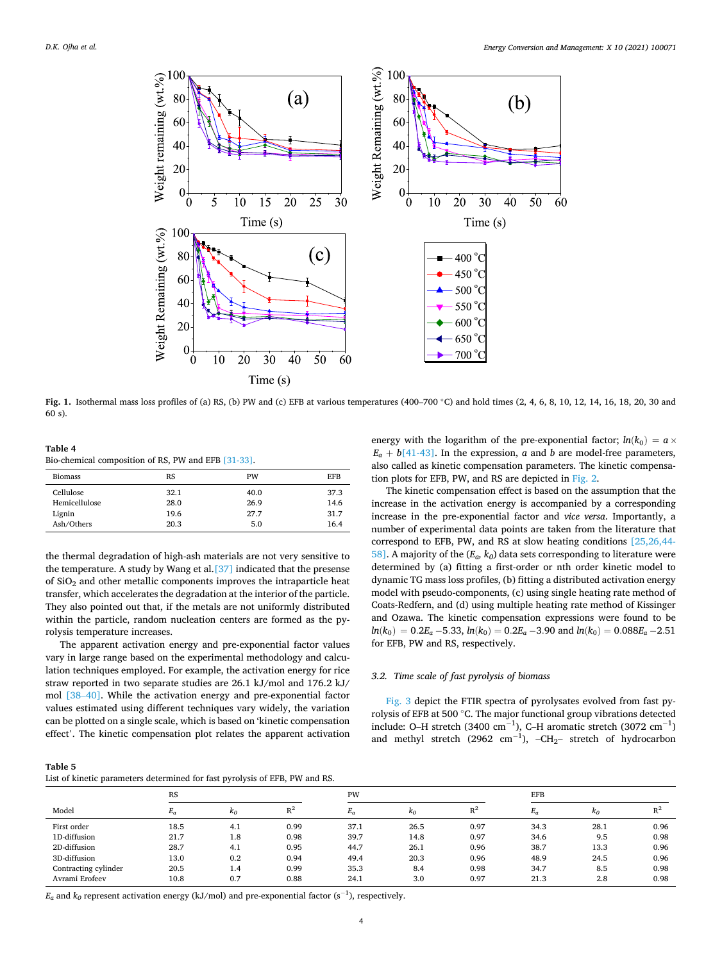<span id="page-3-0"></span>

**Fig. 1.** Isothermal mass loss profiles of (a) RS, (b) PW and (c) EFB at various temperatures (400–700 ◦C) and hold times (2, 4, 6, 8, 10, 12, 14, 16, 18, 20, 30 and 60 s).

**Table 4**  Bio-chemical composition of RS, PW and EFB [\[31-33\].](#page-9-0)

| <b>Biomass</b> | <b>RS</b> | PW   | <b>EFB</b> |
|----------------|-----------|------|------------|
| Cellulose      | 32.1      | 40.0 | 37.3       |
| Hemicellulose  | 28.0      | 26.9 | 14.6       |
| Lignin         | 19.6      | 27.7 | 31.7       |
| Ash/Others     | 20.3      | 5.0  | 16.4       |

the thermal degradation of high-ash materials are not very sensitive to the temperature. A study by Wang et al.[\[37\]](#page-9-0) indicated that the presense of SiO2 and other metallic components improves the intraparticle heat transfer, which accelerates the degradation at the interior of the particle. They also pointed out that, if the metals are not uniformly distributed within the particle, random nucleation centers are formed as the pyrolysis temperature increases.

The apparent activation energy and pre-exponential factor values vary in large range based on the experimental methodology and calculation techniques employed. For example, the activation energy for rice straw reported in two separate studies are 26.1 kJ/mol and 176.2 kJ/ mol [\[38](#page-9-0)–40]. While the activation energy and pre-exponential factor values estimated using different techniques vary widely, the variation can be plotted on a single scale, which is based on 'kinetic compensation effect'. The kinetic compensation plot relates the apparent activation energy with the logarithm of the pre-exponential factor;  $ln(k_0) = a \times$  $E_a + b[41-43]$ . In the expression, *a* and *b* are model-free parameters, also called as kinetic compensation parameters. The kinetic compensation plots for EFB, PW, and RS are depicted in [Fig. 2](#page-4-0).

The kinetic compensation effect is based on the assumption that the increase in the activation energy is accompanied by a corresponding increase in the pre-exponential factor and *vice versa*. Importantly, a number of experimental data points are taken from the literature that correspond to EFB, PW, and RS at slow heating conditions [\[25,26,44-](#page-8-0)  [58\].](#page-8-0) A majority of the (*Ea, k0*) data sets corresponding to literature were determined by (a) fitting a first-order or nth order kinetic model to dynamic TG mass loss profiles, (b) fitting a distributed activation energy model with pseudo-components, (c) using single heating rate method of Coats-Redfern, and (d) using multiple heating rate method of Kissinger and Ozawa. The kinetic compensation expressions were found to be  $ln(k_0) = 0.2E_a - 5.33$ ,  $ln(k_0) = 0.2E_a - 3.90$  and  $ln(k_0) = 0.088E_a - 2.51$ for EFB, PW and RS, respectively.

## *3.2. Time scale of fast pyrolysis of biomass*

[Fig. 3](#page-5-0) depict the FTIR spectra of pyrolysates evolved from fast pyrolysis of EFB at 500 ◦C. The major functional group vibrations detected include: O–H stretch (3400 cm<sup>-1</sup>), C–H aromatic stretch (3072 cm<sup>-1</sup>) and methyl stretch (2962  $cm^{-1}$ ), -CH<sub>2</sub>– stretch of hydrocarbon

| ап<br>Ы | . . |
|---------|-----|
|---------|-----|

List of kinetic parameters determined for fast pyrolysis of EFB, PW and RS.

|                      |           | . .   |       |       |            |            |       |            |       |
|----------------------|-----------|-------|-------|-------|------------|------------|-------|------------|-------|
|                      | <b>RS</b> |       |       | PW    |            | <b>EFB</b> |       |            |       |
| Model                | $E_a$     | $k_0$ | $R^2$ | $E_a$ | $\kappa_0$ | $R^2$      | $E_a$ | $\kappa_0$ | $R^2$ |
| First order          | 18.5      | 4.1   | 0.99  | 37.1  | 26.5       | 0.97       | 34.3  | 28.1       | 0.96  |
| 1D-diffusion         | 21.7      | 1.8   | 0.98  | 39.7  | 14.8       | 0.97       | 34.6  | 9.5        | 0.98  |
| 2D-diffusion         | 28.7      | 4.1   | 0.95  | 44.7  | 26.1       | 0.96       | 38.7  | 13.3       | 0.96  |
| 3D-diffusion         | 13.0      | 0.2   | 0.94  | 49.4  | 20.3       | 0.96       | 48.9  | 24.5       | 0.96  |
| Contracting cylinder | 20.5      | 1.4   | 0.99  | 35.3  | 8.4        | 0.98       | 34.7  | 8.5        | 0.98  |
| Avrami Erofeev       | 10.8      | 0.7   | 0.88  | 24.1  | 3.0        | 0.97       | 21.3  | 2.8        | 0.98  |

 $E_a$  and  $k_0$  represent activation energy (kJ/mol) and pre-exponential factor (s<sup>-1</sup>), respectively.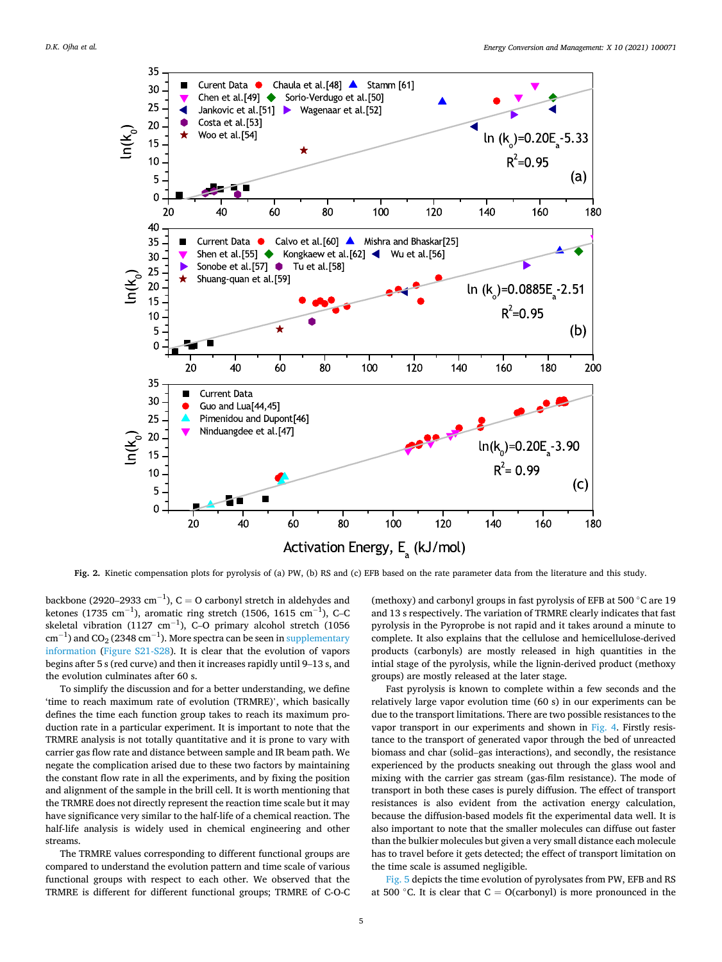<span id="page-4-0"></span>

**Fig. 2.** Kinetic compensation plots for pyrolysis of (a) PW, (b) RS and (c) EFB based on the rate parameter data from the literature and this study.

backbone (2920–2933 cm<sup>-1</sup>), C = O carbonyl stretch in aldehydes and ketones (1735 cm $^{-1}$ ), aromatic ring stretch (1506, 1615 cm $^{-1}$ ), C–C skeletal vibration (1127 cm<sup>-1</sup>), C-O primary alcohol stretch (1056  $\rm cm^{-1})$  and CO<sub>2</sub> (2348  $\rm cm^{-1}$ ). More spectra can be seen in supplementary information (Figure S21-S28). It is clear that the evolution of vapors begins after 5 s (red curve) and then it increases rapidly until 9–13 s, and the evolution culminates after 60 s.

To simplify the discussion and for a better understanding, we define 'time to reach maximum rate of evolution (TRMRE)', which basically defines the time each function group takes to reach its maximum production rate in a particular experiment. It is important to note that the TRMRE analysis is not totally quantitative and it is prone to vary with carrier gas flow rate and distance between sample and IR beam path. We negate the complication arised due to these two factors by maintaining the constant flow rate in all the experiments, and by fixing the position and alignment of the sample in the brill cell. It is worth mentioning that the TRMRE does not directly represent the reaction time scale but it may have significance very similar to the half-life of a chemical reaction. The half-life analysis is widely used in chemical engineering and other streams.

The TRMRE values corresponding to different functional groups are compared to understand the evolution pattern and time scale of various functional groups with respect to each other. We observed that the TRMRE is different for different functional groups; TRMRE of C-O-C (methoxy) and carbonyl groups in fast pyrolysis of EFB at 500 ◦C are 19 and 13 s respectively. The variation of TRMRE clearly indicates that fast pyrolysis in the Pyroprobe is not rapid and it takes around a minute to complete. It also explains that the cellulose and hemicellulose-derived products (carbonyls) are mostly released in high quantities in the intial stage of the pyrolysis, while the lignin-derived product (methoxy groups) are mostly released at the later stage.

Fast pyrolysis is known to complete within a few seconds and the relatively large vapor evolution time (60 s) in our experiments can be due to the transport limitations. There are two possible resistances to the vapor transport in our experiments and shown in [Fig. 4.](#page-5-0) Firstly resistance to the transport of generated vapor through the bed of unreacted biomass and char (solid–gas interactions), and secondly, the resistance experienced by the products sneaking out through the glass wool and mixing with the carrier gas stream (gas-film resistance). The mode of transport in both these cases is purely diffusion. The effect of transport resistances is also evident from the activation energy calculation, because the diffusion-based models fit the experimental data well. It is also important to note that the smaller molecules can diffuse out faster than the bulkier molecules but given a very small distance each molecule has to travel before it gets detected; the effect of transport limitation on the time scale is assumed negligible.

[Fig. 5](#page-6-0) depicts the time evolution of pyrolysates from PW, EFB and RS at 500 °C. It is clear that  $C = O(carbonyl)$  is more pronounced in the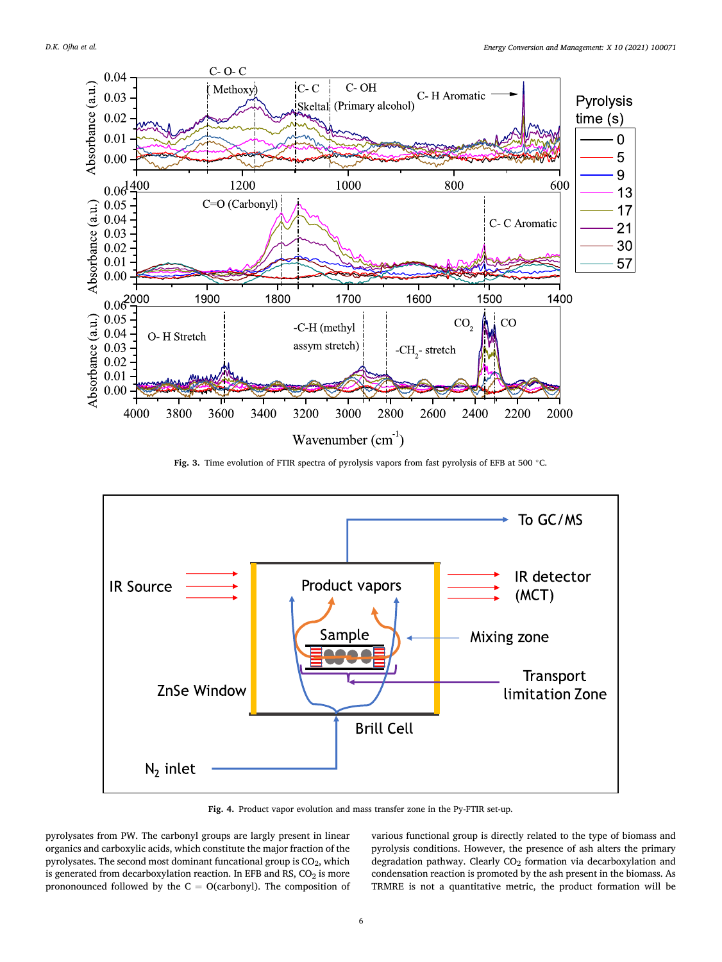<span id="page-5-0"></span>

Fig. 3. Time evolution of FTIR spectra of pyrolysis vapors from fast pyrolysis of EFB at 500 °C.



**Fig. 4.** Product vapor evolution and mass transfer zone in the Py-FTIR set-up.

pyrolysates from PW. The carbonyl groups are largly present in linear organics and carboxylic acids, which constitute the major fraction of the pyrolysates. The second most dominant funcational group is  $CO<sub>2</sub>$ , which is generated from decarboxylation reaction. In EFB and RS,  $CO<sub>2</sub>$  is more prononounced followed by the  $C = O(carbonyl)$ . The composition of various functional group is directly related to the type of biomass and pyrolysis conditions. However, the presence of ash alters the primary degradation pathway. Clearly CO<sub>2</sub> formation via decarboxylation and condensation reaction is promoted by the ash present in the biomass. As TRMRE is not a quantitative metric, the product formation will be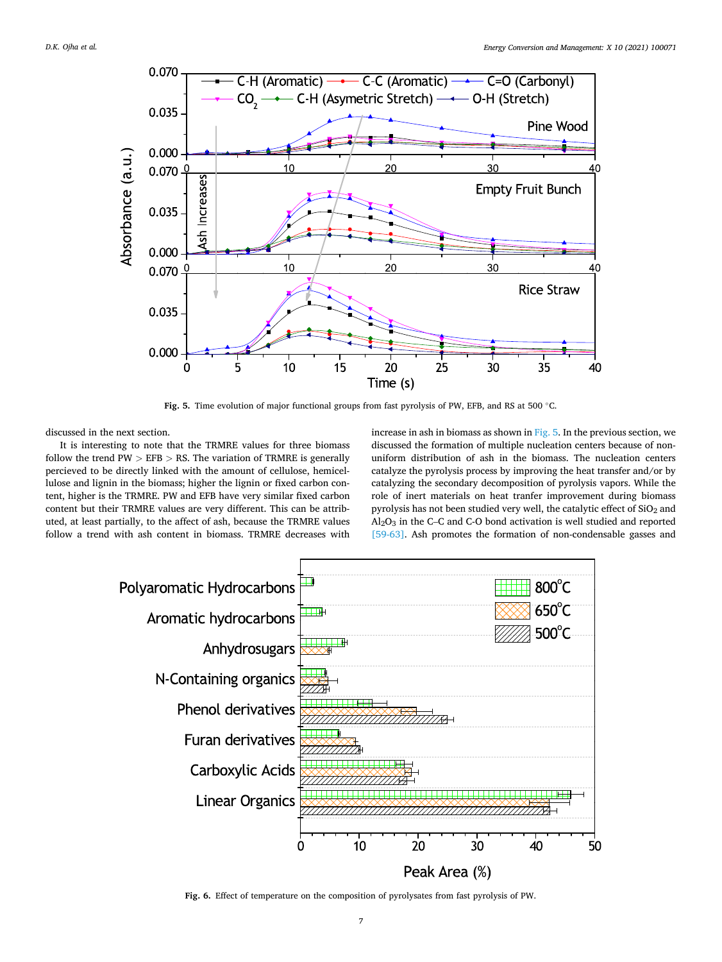<span id="page-6-0"></span>

**Fig. 5.** Time evolution of major functional groups from fast pyrolysis of PW, EFB, and RS at 500 ◦C.

discussed in the next section.

It is interesting to note that the TRMRE values for three biomass follow the trend PW *>* EFB *>* RS. The variation of TRMRE is generally percieved to be directly linked with the amount of cellulose, hemicellulose and lignin in the biomass; higher the lignin or fixed carbon content, higher is the TRMRE. PW and EFB have very similar fixed carbon content but their TRMRE values are very different. This can be attributed, at least partially, to the affect of ash, because the TRMRE values follow a trend with ash content in biomass. TRMRE decreases with

increase in ash in biomass as shown in Fig. 5. In the previous section, we discussed the formation of multiple nucleation centers because of nonuniform distribution of ash in the biomass. The nucleation centers catalyze the pyrolysis process by improving the heat transfer and/or by catalyzing the secondary decomposition of pyrolysis vapors. While the role of inert materials on heat tranfer improvement during biomass pyrolysis has not been studied very well, the catalytic effect of SiO<sub>2</sub> and Al2O3 in the C–C and C-O bond activation is well studied and reported [\[59-63\].](#page-9-0) Ash promotes the formation of non-condensable gasses and



**Fig. 6.** Effect of temperature on the composition of pyrolysates from fast pyrolysis of PW.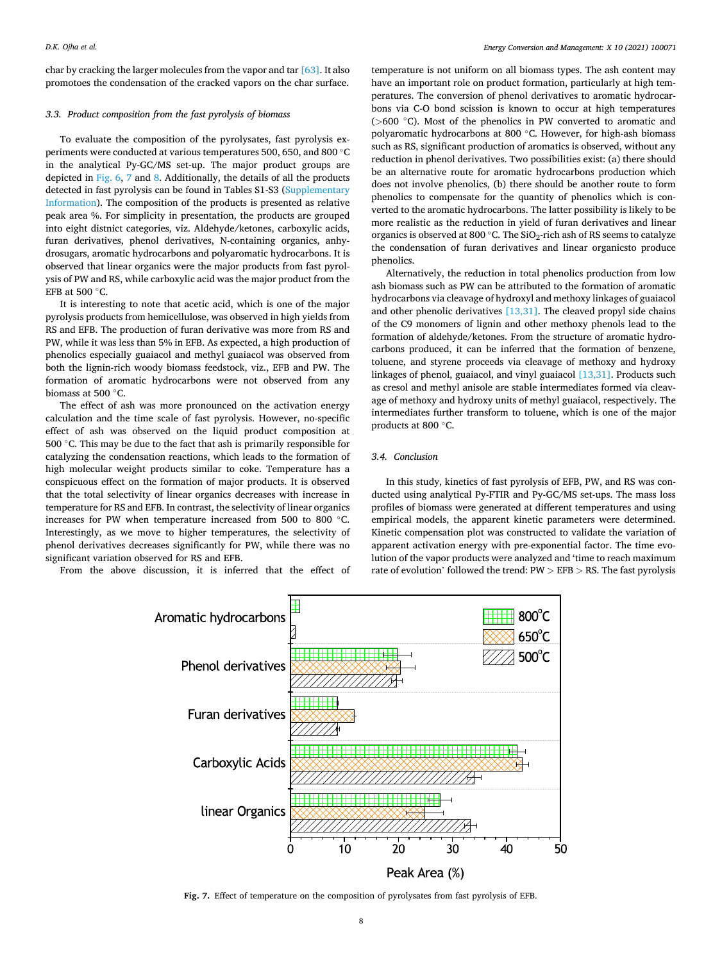char by cracking the larger molecules from the vapor and tar [\[63\].](#page-9-0) It also promotoes the condensation of the cracked vapors on the char surface.

#### *3.3. Product composition from the fast pyrolysis of biomass*

To evaluate the composition of the pyrolysates, fast pyrolysis experiments were conducted at various temperatures 500, 650, and 800 ◦C in the analytical Py-GC/MS set-up. The major product groups are depicted in [Fig. 6,](#page-6-0) 7 and [8](#page-8-0). Additionally, the details of all the products detected in fast pyrolysis can be found in Tables S1-S3 (Supplementary Information). The composition of the products is presented as relative peak area %. For simplicity in presentation, the products are grouped into eight distnict categories, viz. Aldehyde/ketones, carboxylic acids, furan derivatives, phenol derivatives, N-containing organics, anhydrosugars, aromatic hydrocarbons and polyaromatic hydrocarbons. It is observed that linear organics were the major products from fast pyrolysis of PW and RS, while carboxylic acid was the major product from the EFB at 500 ◦C.

It is interesting to note that acetic acid, which is one of the major pyrolysis products from hemicellulose, was observed in high yields from RS and EFB. The production of furan derivative was more from RS and PW, while it was less than 5% in EFB. As expected, a high production of phenolics especially guaiacol and methyl guaiacol was observed from both the lignin-rich woody biomass feedstock, viz., EFB and PW. The formation of aromatic hydrocarbons were not observed from any biomass at 500 ◦C.

The effect of ash was more pronounced on the activation energy calculation and the time scale of fast pyrolysis. However, no-specific effect of ash was observed on the liquid product composition at 500 ℃. This may be due to the fact that ash is primarily responsible for catalyzing the condensation reactions, which leads to the formation of high molecular weight products similar to coke. Temperature has a conspicuous effect on the formation of major products. It is observed that the total selectivity of linear organics decreases with increase in temperature for RS and EFB. In contrast, the selectivity of linear organics increases for PW when temperature increased from 500 to 800 ◦C. Interestingly, as we move to higher temperatures, the selectivity of phenol derivatives decreases significantly for PW, while there was no significant variation observed for RS and EFB.

From the above discussion, it is inferred that the effect of

temperature is not uniform on all biomass types. The ash content may have an important role on product formation, particularly at high temperatures. The conversion of phenol derivatives to aromatic hydrocarbons via C-O bond scission is known to occur at high temperatures (*>*600 ◦C). Most of the phenolics in PW converted to aromatic and polyaromatic hydrocarbons at 800 ◦C. However, for high-ash biomass such as RS, significant production of aromatics is observed, without any reduction in phenol derivatives. Two possibilities exist: (a) there should be an alternative route for aromatic hydrocarbons production which does not involve phenolics, (b) there should be another route to form phenolics to compensate for the quantity of phenolics which is converted to the aromatic hydrocarbons. The latter possibility is likely to be more realistic as the reduction in yield of furan derivatives and linear organics is observed at 800 °C. The  $SiO<sub>2</sub>$ -rich ash of RS seems to catalyze the condensation of furan derivatives and linear organicsto produce phenolics.

Alternatively, the reduction in total phenolics production from low ash biomass such as PW can be attributed to the formation of aromatic hydrocarbons via cleavage of hydroxyl and methoxy linkages of guaiacol and other phenolic derivatives  $[13,31]$ . The cleaved propyl side chains of the C9 monomers of lignin and other methoxy phenols lead to the formation of aldehyde/ketones. From the structure of aromatic hydrocarbons produced, it can be inferred that the formation of benzene, toluene, and styrene proceeds via cleavage of methoxy and hydroxy linkages of phenol, guaiacol, and vinyl guaiacol [\[13,31\]](#page-8-0). Products such as cresol and methyl anisole are stable intermediates formed via cleavage of methoxy and hydroxy units of methyl guaiacol, respectively. The intermediates further transform to toluene, which is one of the major products at 800 ◦C.

## *3.4. Conclusion*

In this study, kinetics of fast pyrolysis of EFB, PW, and RS was conducted using analytical Py-FTIR and Py-GC/MS set-ups. The mass loss profiles of biomass were generated at different temperatures and using empirical models, the apparent kinetic parameters were determined. Kinetic compensation plot was constructed to validate the variation of apparent activation energy with pre-exponential factor. The time evolution of the vapor products were analyzed and 'time to reach maximum rate of evolution' followed the trend: PW *>* EFB *>* RS. The fast pyrolysis



**Fig. 7.** Effect of temperature on the composition of pyrolysates from fast pyrolysis of EFB.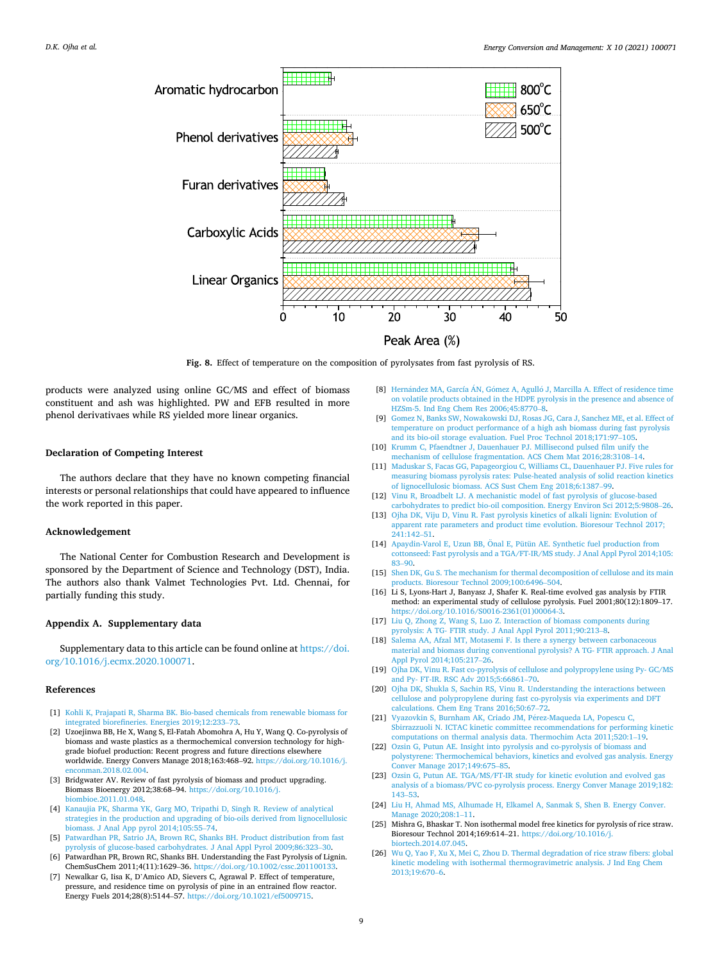<span id="page-8-0"></span>

**Fig. 8.** Effect of temperature on the composition of pyrolysates from fast pyrolysis of RS.

products were analyzed using online GC/MS and effect of biomass constituent and ash was highlighted. PW and EFB resulted in more phenol derivativaes while RS yielded more linear organics.

### **Declaration of Competing Interest**

The authors declare that they have no known competing financial interests or personal relationships that could have appeared to influence the work reported in this paper.

## **Acknowledgement**

The National Center for Combustion Research and Development is sponsored by the Department of Science and Technology (DST), India. The authors also thank Valmet Technologies Pvt. Ltd. Chennai, for partially funding this study.

#### **Appendix A. Supplementary data**

Supplementary data to this article can be found online at [https://doi.](https://doi.org/10.1016/j.ecmx.2020.100071)  [org/10.1016/j.ecmx.2020.100071.](https://doi.org/10.1016/j.ecmx.2020.100071)

#### **References**

- [1] [Kohli K, Prajapati R, Sharma BK. Bio-based chemicals from renewable biomass for](http://refhub.elsevier.com/S2590-1745(20)30043-X/h0005)  [integrated biorefineries. Energies 2019;12:233](http://refhub.elsevier.com/S2590-1745(20)30043-X/h0005)–73.
- [2] Uzoejinwa BB, He X, Wang S, El-Fatah Abomohra A, Hu Y, Wang Q. Co-pyrolysis of biomass and waste plastics as a thermochemical conversion technology for highgrade biofuel production: Recent progress and future directions elsewhere worldwide. Energy Convers Manage 2018;163:468–92. [https://doi.org/10.1016/j.](https://doi.org/10.1016/j.enconman.2018.02.004)  [enconman.2018.02.004.](https://doi.org/10.1016/j.enconman.2018.02.004)
- [3] Bridgwater AV. Review of fast pyrolysis of biomass and product upgrading. Biomass Bioenergy 2012;38:68–94. [https://doi.org/10.1016/j.](https://doi.org/10.1016/j.biombioe.2011.01.048)  [biombioe.2011.01.048](https://doi.org/10.1016/j.biombioe.2011.01.048).
- [4] [Kanaujia PK, Sharma YK, Garg MO, Tripathi D, Singh R. Review of analytical](http://refhub.elsevier.com/S2590-1745(20)30043-X/h0020) [strategies in the production and upgrading of bio-oils derived from lignocellulosic](http://refhub.elsevier.com/S2590-1745(20)30043-X/h0020)  [biomass. J Anal App pyrol 2014;105:55](http://refhub.elsevier.com/S2590-1745(20)30043-X/h0020)–74.
- [5] [Patwardhan PR, Satrio JA, Brown RC, Shanks BH. Product distribution from fast](http://refhub.elsevier.com/S2590-1745(20)30043-X/h0025)  [pyrolysis of glucose-based carbohydrates. J Anal Appl Pyrol 2009;86:323](http://refhub.elsevier.com/S2590-1745(20)30043-X/h0025)–30. [6] Patwardhan PR, Brown RC, Shanks BH. Understanding the Fast Pyrolysis of Lignin.
- ChemSusChem 2011;4(11):1629–36. <https://doi.org/10.1002/cssc.201100133>. [7] Newalkar G, Iisa K, D'Amico AD, Sievers C, Agrawal P. Effect of temperature,
- pressure, and residence time on pyrolysis of pine in an entrained flow reactor. Energy Fuels 2014;28(8):5144–57. [https://doi.org/10.1021/ef5009715.](https://doi.org/10.1021/ef5009715)
- [8] Hernández MA, García ÁN, Gómez A, Agulló J, Marcilla A. Effect of residence time [on volatile products obtained in the HDPE pyrolysis in the presence and absence of](http://refhub.elsevier.com/S2590-1745(20)30043-X/h0040)  [HZSm-5. Ind Eng Chem Res 2006;45:8770](http://refhub.elsevier.com/S2590-1745(20)30043-X/h0040)–8.
- [9] [Gomez N, Banks SW, Nowakowski DJ, Rosas JG, Cara J, Sanchez ME, et al. Effect of](http://refhub.elsevier.com/S2590-1745(20)30043-X/h0045)  [temperature on product performance of a high ash biomass during fast pyrolysis](http://refhub.elsevier.com/S2590-1745(20)30043-X/h0045)  [and its bio-oil storage evaluation. Fuel Proc Technol 2018;171:97](http://refhub.elsevier.com/S2590-1745(20)30043-X/h0045)–105.
- [10] [Krumm C, Pfaendtner J, Dauenhauer PJ. Millisecond pulsed film unify the](http://refhub.elsevier.com/S2590-1745(20)30043-X/h0050) [mechanism of cellulose fragmentation. ACS Chem Mat 2016;28:3108](http://refhub.elsevier.com/S2590-1745(20)30043-X/h0050)–14.
- [11] [Maduskar S, Facas GG, Papageorgiou C, Williams CL, Dauenhauer PJ. Five rules for](http://refhub.elsevier.com/S2590-1745(20)30043-X/h0055)  [measuring biomass pyrolysis rates: Pulse-heated analysis of solid reaction kinetics](http://refhub.elsevier.com/S2590-1745(20)30043-X/h0055)  [of lignocellulosic biomass. ACS Sust Chem Eng 2018;6:1387](http://refhub.elsevier.com/S2590-1745(20)30043-X/h0055)–99.
- [12] [Vinu R, Broadbelt LJ. A mechanistic model of fast pyrolysis of glucose-based](http://refhub.elsevier.com/S2590-1745(20)30043-X/h0060) [carbohydrates to predict bio-oil composition. Energy Environ Sci 2012;5:9808](http://refhub.elsevier.com/S2590-1745(20)30043-X/h0060)–26.
- [13] [Ojha DK, Viju D, Vinu R. Fast pyrolysis kinetics of alkali lignin: Evolution of](http://refhub.elsevier.com/S2590-1745(20)30043-X/h0065) [apparent rate parameters and product time evolution. Bioresour Technol 2017;](http://refhub.elsevier.com/S2590-1745(20)30043-X/h0065)  [241:142](http://refhub.elsevier.com/S2590-1745(20)30043-X/h0065)–51.
- [14] Apaydin-Varol E, Uzun BB, Önal E, Pütün AE. Synthetic fuel production from [cottonseed: Fast pyrolysis and a TGA/FT-IR/MS study. J Anal Appl Pyrol 2014;105:](http://refhub.elsevier.com/S2590-1745(20)30043-X/h0070)  83–[90.](http://refhub.elsevier.com/S2590-1745(20)30043-X/h0070)
- [15] Shen DK, Gu S. The mechanism for thermal decomposition of cellulose and its main [products. Bioresour Technol 2009;100:6496](http://refhub.elsevier.com/S2590-1745(20)30043-X/h0075)–504.
- [16] Li S, Lyons-Hart J, Banyasz J, Shafer K. Real-time evolved gas analysis by FTIR method: an experimental study of cellulose pyrolysis. Fuel 2001;80(12):1809–17. [https://doi.org/10.1016/S0016-2361\(01\)00064-3.](https://doi.org/10.1016/S0016-2361(01)00064-3)
- [17] [Liu Q, Zhong Z, Wang S, Luo Z. Interaction of biomass components during](http://refhub.elsevier.com/S2590-1745(20)30043-X/h0085) [pyrolysis: A TG- FTIR study. J Anal Appl Pyrol 2011;90:213](http://refhub.elsevier.com/S2590-1745(20)30043-X/h0085)–8.
- [18] [Salema AA, Afzal MT, Motasemi F. Is there a synergy between carbonaceous](http://refhub.elsevier.com/S2590-1745(20)30043-X/h0090)  [material and biomass during conventional pyrolysis? A TG- FTIR approach. J Anal](http://refhub.elsevier.com/S2590-1745(20)30043-X/h0090)  [Appl Pyrol 2014;105:217](http://refhub.elsevier.com/S2590-1745(20)30043-X/h0090)–26.
- [19] [Ojha DK, Vinu R. Fast co-pyrolysis of cellulose and polypropylene using Py- GC/MS](http://refhub.elsevier.com/S2590-1745(20)30043-X/h0095)  [and Py- FT-IR. RSC Adv 2015;5:66861](http://refhub.elsevier.com/S2590-1745(20)30043-X/h0095)–70.
- [20] [Ojha DK, Shukla S, Sachin RS, Vinu R. Understanding the interactions between](http://refhub.elsevier.com/S2590-1745(20)30043-X/h0100) [cellulose and polypropylene during fast co-pyrolysis via experiments and DFT](http://refhub.elsevier.com/S2590-1745(20)30043-X/h0100) [calculations. Chem Eng Trans 2016;50:67](http://refhub.elsevier.com/S2590-1745(20)30043-X/h0100)–72.
- [21] [Vyazovkin S, Burnham AK, Criado JM, P](http://refhub.elsevier.com/S2590-1745(20)30043-X/h0105)érez-Maqueda LA, Popescu C, [Sbirrazzuoli N. ICTAC kinetic committee recommendations for performing kinetic](http://refhub.elsevier.com/S2590-1745(20)30043-X/h0105)  [computations on thermal analysis data. Thermochim Acta 2011;520:1](http://refhub.elsevier.com/S2590-1745(20)30043-X/h0105)–19.
- [22] [Ozsin G, Putun AE. Insight into pyrolysis and co-pyrolysis of biomass and](http://refhub.elsevier.com/S2590-1745(20)30043-X/h0110) [polystyrene: Thermochemical behaviors, kinetics and evolved gas analysis. Energy](http://refhub.elsevier.com/S2590-1745(20)30043-X/h0110)  [Conver Manage 2017;149:675](http://refhub.elsevier.com/S2590-1745(20)30043-X/h0110)–85.
- [23] [Ozsin G, Putun AE. TGA/MS/FT-IR study for kinetic evolution and evolved gas](http://refhub.elsevier.com/S2590-1745(20)30043-X/h0115)  [analysis of a biomass/PVC co-pyrolysis process. Energy Conver Manage 2019;182:](http://refhub.elsevier.com/S2590-1745(20)30043-X/h0115)  [143](http://refhub.elsevier.com/S2590-1745(20)30043-X/h0115)–53.
- [24] [Liu H, Ahmad MS, Alhumade H, Elkamel A, Sanmak S, Shen B. Energy Conver.](http://refhub.elsevier.com/S2590-1745(20)30043-X/h0120)  [Manage 2020;208:1](http://refhub.elsevier.com/S2590-1745(20)30043-X/h0120)–11.
- [25] Mishra G, Bhaskar T. Non isothermal model free kinetics for pyrolysis of rice straw. Bioresour Technol 2014;169:614–21. [https://doi.org/10.1016/j.](https://doi.org/10.1016/j.biortech.2014.07.045) [biortech.2014.07.045](https://doi.org/10.1016/j.biortech.2014.07.045).
- [26] [Wu Q, Yao F, Xu X, Mei C, Zhou D. Thermal degradation of rice straw fibers: global](http://refhub.elsevier.com/S2590-1745(20)30043-X/h0130)  [kinetic modeling with isothermal thermogravimetric analysis. J Ind Eng Chem](http://refhub.elsevier.com/S2590-1745(20)30043-X/h0130)  [2013;19:670](http://refhub.elsevier.com/S2590-1745(20)30043-X/h0130)–6.